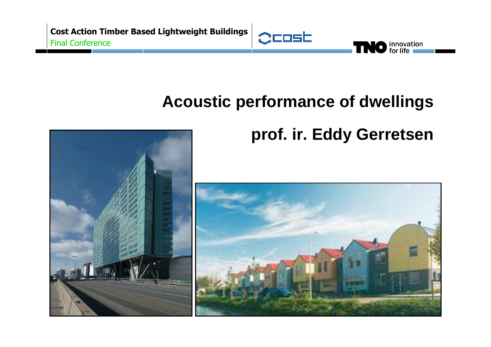

# **Acoustic performance of dwellings**



# **prof. ir. Eddy Gerretsen**

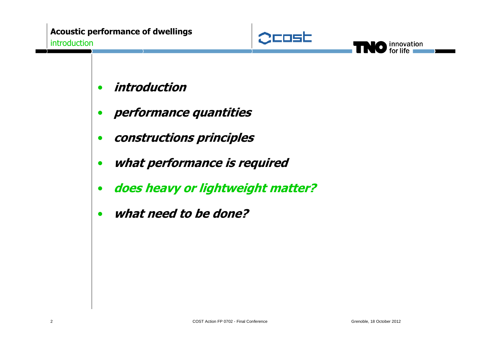



- •**introduction**
- •**performance quantities**
- •**constructions principles**
- •**what performance is required**
- •**does heavy or lightweight matter?**
- •**what need to be done?**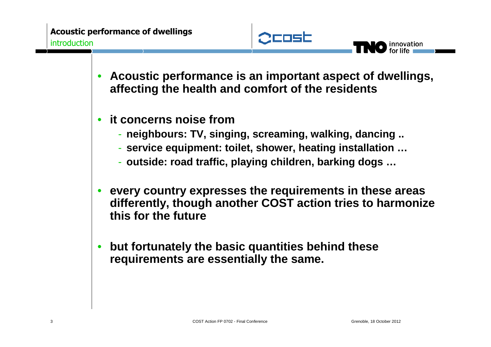

- • **Acoustic performance is an important aspect of dwellings, affecting the health and comfort of the residents**
- • **it concerns noise from**
	- **neighbours: TV, singing, screaming, walking, dancing ..**
	- **service equipment: toilet, shower, heating installation …**
	- **outside: road traffic, playing children, barking dogs …**
- • **every country expresses the requirements in these areas differently, though another COST action tries to harmonize this for the future**
- • **but fortunately the basic quantities behind these requirements are essentially the same.**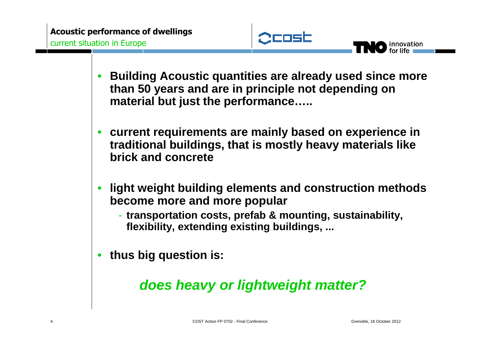

- • **Building Acoustic quantities are already used since more than 50 years and are in principle not depending on material but just the performance…..**
- • **current requirements are mainly based on experience in traditional buildings, that is mostly heavy materials like brick and concrete**
- • **light weight building elements and construction methods become more and more popular**
	- **transportation costs, prefab & mounting, sustainability, flexibility, extending existing buildings, ...**
- •**thus big question is:**

## **does heavy or lightweight matter?**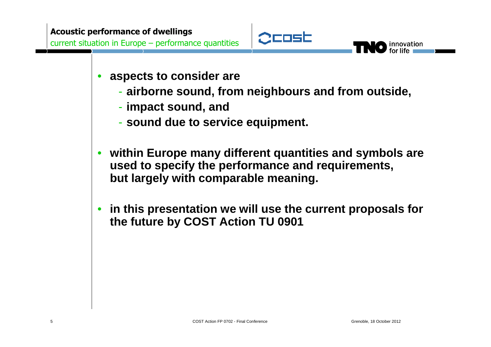

- • **aspects to consider are** 
	- **airborne sound, from neighbours and from outside,**
	- **impact sound, and**
	- r cound due to cer **sound due to service equipment.**
- • **within Europe many different quantities and symbols are used to specify the performance and requirements,but largely with comparable meaning.**
- • **in this presentation we will use the current proposals for the future by COST Action TU 0901**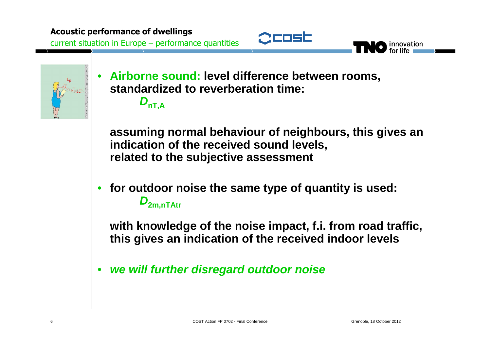



•

 **Airborne sound: level difference between rooms, standardized to reverberation time:**

 $D_{nT,A}$ 

**assuming normal behaviour of neighbours, this gives anindication of the received sound levels, related to the subjective assessment**

• **for outdoor noise the same type of quantity is used: <sup>D</sup>2m,nTAtr**

**with knowledge of the noise impact, f.i. from road traffic, this gives an indication of the received indoor levels**

•**we will further disregard outdoor noise**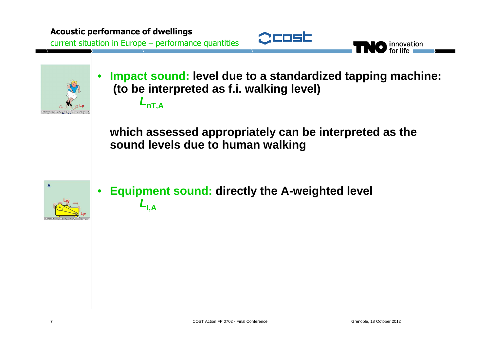



•

 **Impact sound: level due to a standardized tapping machine: (to be interpreted as f.i. walking level)<sup>L</sup>nT,A**

**which assessed appropriately can be interpreted as thesound levels due to human walking**



• **Equipment sound: directly the A-weighted level**  $L_{\mathsf{I},\mathsf{A}}$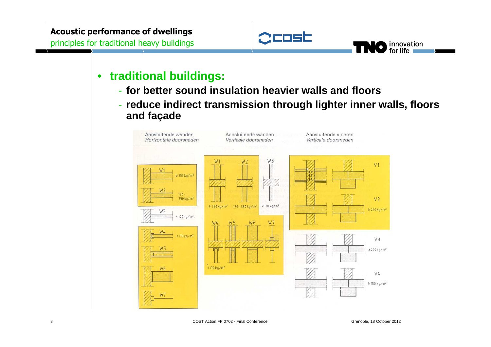

#### $\bullet$ **traditional buildings:**

- **for better sound insulation heavier walls and floors**
- **reduce indirect transmission through lighter inner walls, floorsand façade**

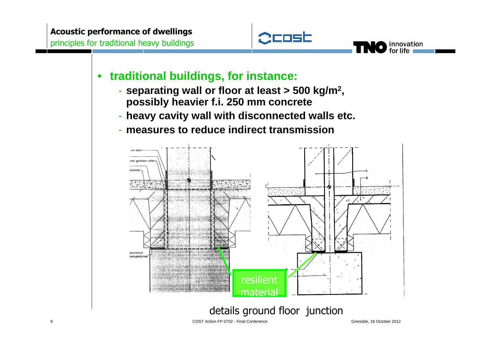



- **separating wall or floor at least > 500 kg/m<sup>2</sup>, possibly heavier f.i. 250 mm concrete**
- **heavy cavity wall with disconnected walls etc.**
- **measures to reduce indirect transmission**



innovation for life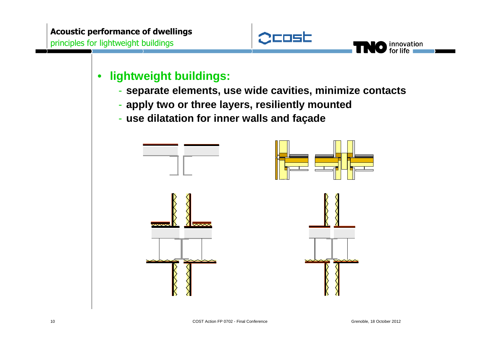

innovation<br>for life

#### •**lightweight buildings:**

- **separate elements, use wide cavities, minimize contacts**
- **apply two or three layers, resiliently mounted**
- **use dilatation for inner walls and façade**

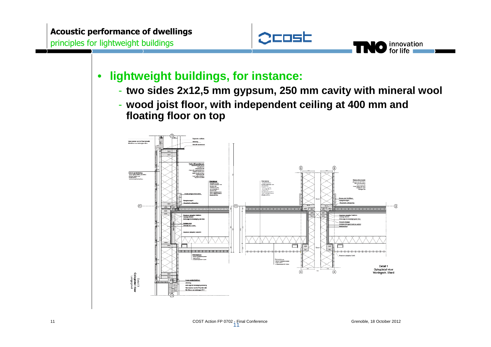

#### •**lightweight buildings, for instance:**

- **two sides 2x12,5 mm gypsum, 250 mm cavity with mineral wool**
- **wood joist floor, with independent ceiling at 400 mm and floating floor on top**

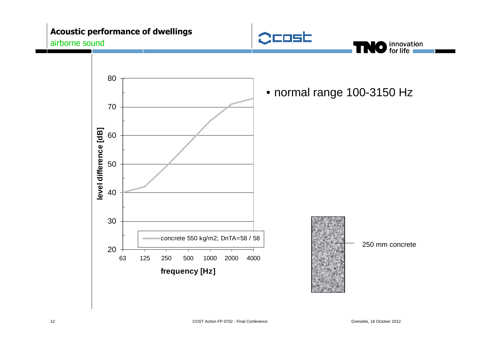### **Acoustic performance of dwellings**airborne sound





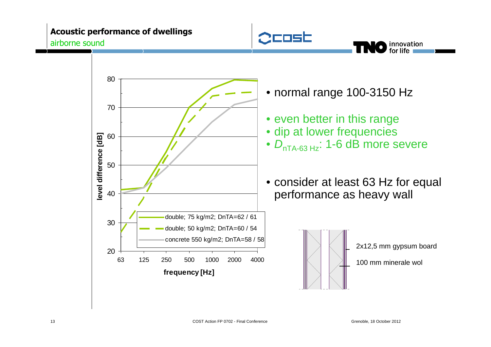### **Acoustic performance of dwellings**airborne sound



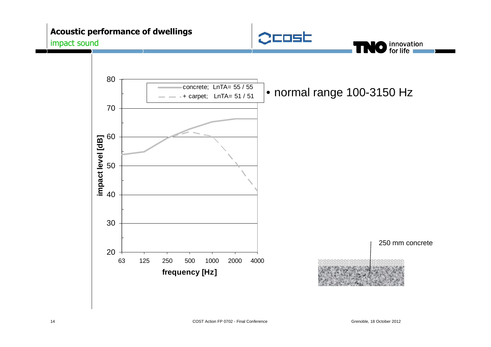### **Acoustic performance of dwellings**impact sound





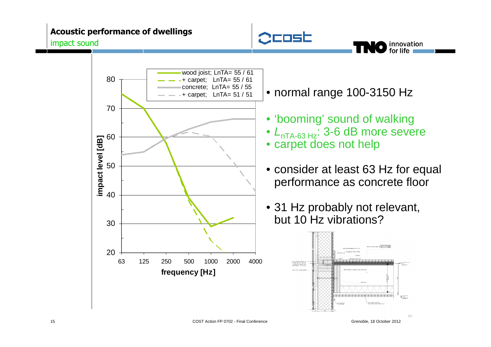#### **Acoustic performance of dwellings**impact sound





• normal range 100-3150 Hz

- 'booming' sound of walking
- $\bullet$   $L_{\sf nTA\text{-}63\,Hz}$ : 3-6 dB more severe
- carpet does not help
- consider at least 63 Hz for equal performance as concrete floor
- 31 Hz probably not relevant, but 10 Hz vibrations?

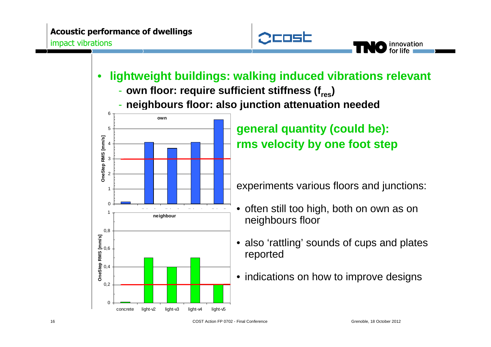

- • **lightweight buildings: walking induced vibrations relevant**
	- **own floor: require sufficient stiffness (fres)**
	- **neighbours floor: also junction attenuation needed**



**general quantity (could be):rms velocity by one foot step**

experiments various floors and junctions:

- often still too high, both on own as on neighbours floor
- also 'rattling' sounds of cups and plates reported
- indications on how to improve designs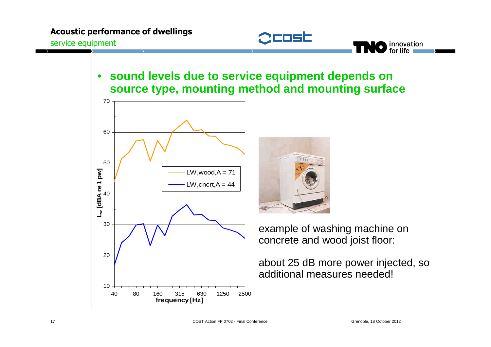

## • **sound levels due to service equipment depends on source type, mounting method and mounting surface**



example of washing machine on concrete and wood joist floor:

about 25 dB more power injected, so additional measures needed!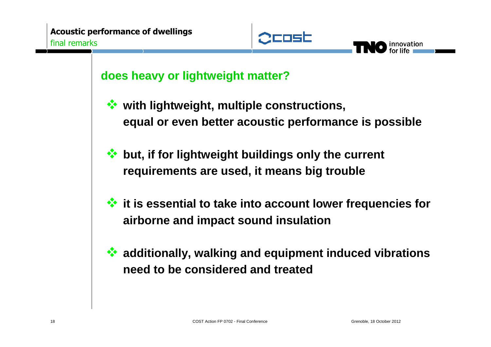

innovation

## **does heavy or lightweight matter?**

- 参 **with lightweight, multiple constructions, equal or even better acoustic performance is possible**
- **but, if for lightweight buildings only the current requirements are used, it means big trouble**
- **it is essential to take into account lower frequencies for airborne and impact sound insulation**
- 参 **additionally, walking and equipment induced vibrations need to be considered and treated**